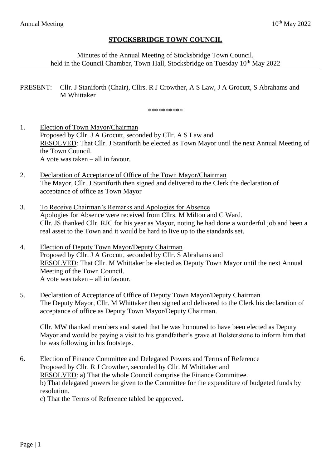## **STOCKSBRIDGE TOWN COUNCIL**

Minutes of the Annual Meeting of Stocksbridge Town Council, held in the Council Chamber, Town Hall, Stocksbridge on Tuesday 10<sup>th</sup> May 2022

PRESENT: Cllr. J Staniforth (Chair), Cllrs. R J Crowther, A S Law, J A Grocutt, S Abrahams and M Whittaker

\*\*\*\*\*\*\*\*\*\*

1. Election of Town Mayor/Chairman Proposed by Cllr. J A Grocutt, seconded by Cllr. A S Law and RESOLVED: That Cllr. J Staniforth be elected as Town Mayor until the next Annual Meeting of the Town Council. A vote was taken – all in favour.

- 2. Declaration of Acceptance of Office of the Town Mayor/Chairman The Mayor, Cllr. J Staniforth then signed and delivered to the Clerk the declaration of acceptance of office as Town Mayor
- 3. To Receive Chairman's Remarks and Apologies for Absence Apologies for Absence were received from Cllrs. M Milton and C Ward. Cllr. JS thanked Cllr. RJC for his year as Mayor, noting he had done a wonderful job and been a real asset to the Town and it would be hard to live up to the standards set.
- 4. Election of Deputy Town Mayor/Deputy Chairman Proposed by Cllr. J A Grocutt, seconded by Cllr. S Abrahams and RESOLVED: That Cllr. M Whittaker be elected as Deputy Town Mayor until the next Annual Meeting of the Town Council. A vote was taken – all in favour.
- 5. Declaration of Acceptance of Office of Deputy Town Mayor/Deputy Chairman The Deputy Mayor, Cllr. M Whittaker then signed and delivered to the Clerk his declaration of acceptance of office as Deputy Town Mayor/Deputy Chairman.

Cllr. MW thanked members and stated that he was honoured to have been elected as Deputy Mayor and would be paying a visit to his grandfather's grave at Bolsterstone to inform him that he was following in his footsteps.

- 6. Election of Finance Committee and Delegated Powers and Terms of Reference Proposed by Cllr. R J Crowther, seconded by Cllr. M Whittaker and RESOLVED: a) That the whole Council comprise the Finance Committee. b) That delegated powers be given to the Committee for the expenditure of budgeted funds by resolution.
	- c) That the Terms of Reference tabled be approved.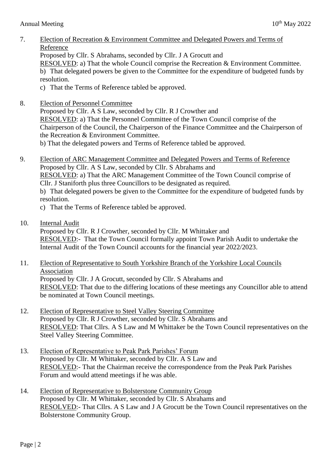7. Election of Recreation & Environment Committee and Delegated Powers and Terms of Reference

Proposed by Cllr. S Abrahams, seconded by Cllr. J A Grocutt and

RESOLVED: a) That the whole Council comprise the Recreation & Environment Committee. b) That delegated powers be given to the Committee for the expenditure of budgeted funds by resolution.

- c) That the Terms of Reference tabled be approved.
- 8. Election of Personnel Committee

Proposed by Cllr. A S Law, seconded by Cllr. R J Crowther and RESOLVED: a) That the Personnel Committee of the Town Council comprise of the Chairperson of the Council, the Chairperson of the Finance Committee and the Chairperson of the Recreation & Environment Committee.

b) That the delegated powers and Terms of Reference tabled be approved.

- 9. Election of ARC Management Committee and Delegated Powers and Terms of Reference Proposed by Cllr. A S Law, seconded by Cllr. S Abrahams and RESOLVED: a) That the ARC Management Committee of the Town Council comprise of Cllr. J Staniforth plus three Councillors to be designated as required. b) That delegated powers be given to the Committee for the expenditure of budgeted funds by resolution.
	- c) That the Terms of Reference tabled be approved.
- 10. Internal Audit

Proposed by Cllr. R J Crowther, seconded by Cllr. M Whittaker and RESOLVED:- That the Town Council formally appoint Town Parish Audit to undertake the Internal Audit of the Town Council accounts for the financial year 2022/2023.

- 11. Election of Representative to South Yorkshire Branch of the Yorkshire Local Councils Association Proposed by Cllr. J A Grocutt, seconded by Cllr. S Abrahams and RESOLVED: That due to the differing locations of these meetings any Councillor able to attend be nominated at Town Council meetings.
- 12. Election of Representative to Steel Valley Steering Committee Proposed by Cllr. R J Crowther, seconded by Cllr. S Abrahams and RESOLVED: That Cllrs. A S Law and M Whittaker be the Town Council representatives on the Steel Valley Steering Committee.
- 13. Election of Representative to Peak Park Parishes' Forum Proposed by Cllr. M Whittaker, seconded by Cllr. A S Law and RESOLVED:- That the Chairman receive the correspondence from the Peak Park Parishes Forum and would attend meetings if he was able.
- 14. Election of Representative to Bolsterstone Community Group Proposed by Cllr. M Whittaker, seconded by Cllr. S Abrahams and RESOLVED:- That Cllrs. A S Law and J A Grocutt be the Town Council representatives on the Bolsterstone Community Group.